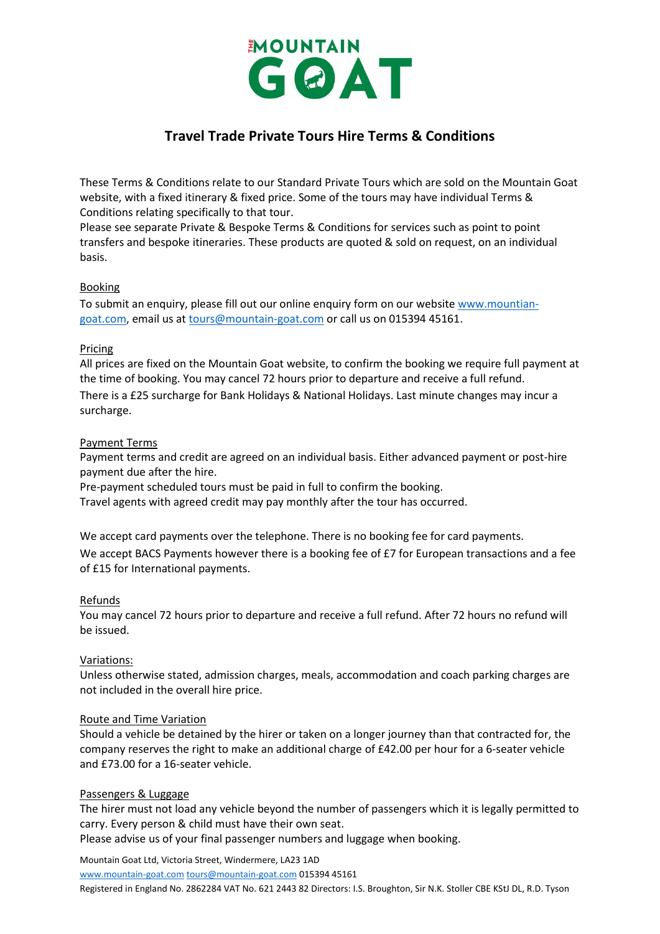

# **Travel Trade Private Tours Hire Terms & Conditions**

These Terms & Conditions relate to our Standard Private Tours which are sold on the Mountain Goat website, with a fixed itinerary & fixed price. Some of the tours may have individual Terms & Conditions relating specifically to that tour.

Please see separate Private & Bespoke Terms & Conditions for services such as point to point transfers and bespoke itineraries. These products are quoted & sold on request, on an individual basis.

## Booking

To submit an enquiry, please fill out our online enquiry form on our website [www.mountian](http://www.mountian-goat.com/)[goat.com,](http://www.mountian-goat.com/) email us at [tours@mountain-goat.com](mailto:tours@mountain-goat.com) or call us on 015394 45161.

## Pricing

All prices are fixed on the Mountain Goat website, to confirm the booking we require full payment at the time of booking. You may cancel 72 hours prior to departure and receive a full refund. There is a £25 surcharge for Bank Holidays & National Holidays. Last minute changes may incur a surcharge.

## Payment Terms

Payment terms and credit are agreed on an individual basis. Either advanced payment or post-hire payment due after the hire.

Pre-payment scheduled tours must be paid in full to confirm the booking.

Travel agents with agreed credit may pay monthly after the tour has occurred.

We accept card payments over the telephone. There is no booking fee for card payments. We accept BACS Payments however there is a booking fee of £7 for European transactions and a fee of £15 for International payments.

### Refunds

You may cancel 72 hours prior to departure and receive a full refund. After 72 hours no refund will be issued.

## Variations:

Unless otherwise stated, admission charges, meals, accommodation and coach parking charges are not included in the overall hire price.

### Route and Time Variation

Should a vehicle be detained by the hirer or taken on a longer journey than that contracted for, the company reserves the right to make an additional charge of £42.00 per hour for a 6-seater vehicle and £73.00 for a 16-seater vehicle.

### Passengers & Luggage

The hirer must not load any vehicle beyond the number of passengers which it is legally permitted to carry. Every person & child must have their own seat.

Please advise us of your final passenger numbers and luggage when booking.

Mountain Goat Ltd, Victoria Street, Windermere, LA23 1AD

[www.mountain-goat.com](http://www.mountain-goat.com/) [tours@mountain-goat.com](mailto:tours@mountain-goat.com) 015394 45161

Registered in England No. 2862284 VAT No. 621 2443 82 Directors: I.S. Broughton, Sir N.K. Stoller CBE KStJ DL, R.D. Tyson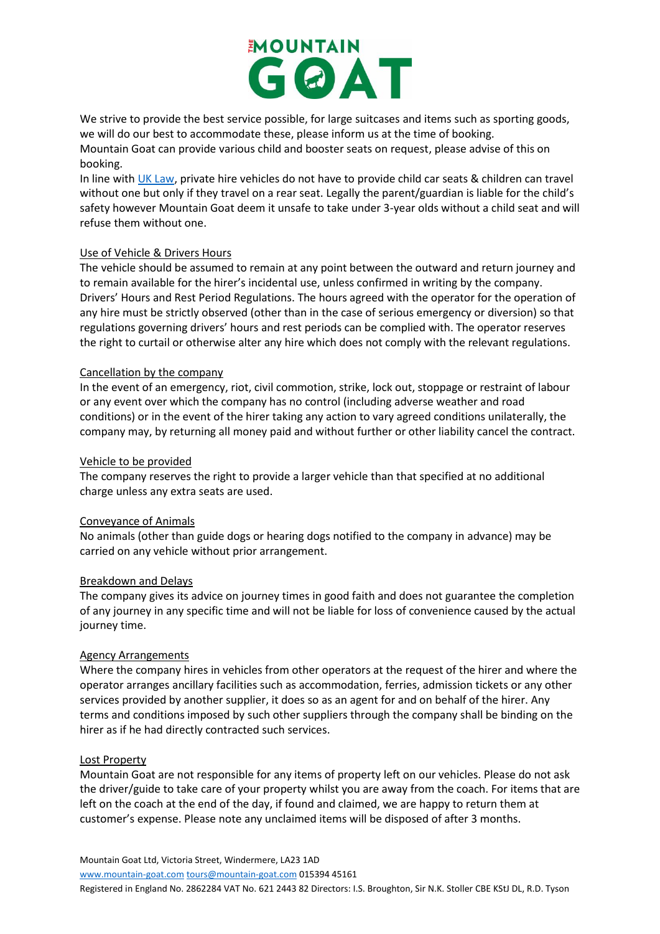

We strive to provide the best service possible, for large suitcases and items such as sporting goods, we will do our best to accommodate these, please inform us at the time of booking. Mountain Goat can provide various child and booster seats on request, please advise of this on booking.

In line with [UK Law,](https://www.gov.uk/child-car-seats-the-rules/when-a-child-can-travel-without-a-car-seat) private hire vehicles do not have to provide child car seats & children can travel without one but only if they travel on a rear seat. Legally the parent/guardian is liable for the child's safety however Mountain Goat deem it unsafe to take under 3-year olds without a child seat and will refuse them without one.

## Use of Vehicle & Drivers Hours

The vehicle should be assumed to remain at any point between the outward and return journey and to remain available for the hirer's incidental use, unless confirmed in writing by the company. Drivers' Hours and Rest Period Regulations. The hours agreed with the operator for the operation of any hire must be strictly observed (other than in the case of serious emergency or diversion) so that regulations governing drivers' hours and rest periods can be complied with. The operator reserves the right to curtail or otherwise alter any hire which does not comply with the relevant regulations.

## Cancellation by the company

In the event of an emergency, riot, civil commotion, strike, lock out, stoppage or restraint of labour or any event over which the company has no control (including adverse weather and road conditions) or in the event of the hirer taking any action to vary agreed conditions unilaterally, the company may, by returning all money paid and without further or other liability cancel the contract.

## Vehicle to be provided

The company reserves the right to provide a larger vehicle than that specified at no additional charge unless any extra seats are used.

### Conveyance of Animals

No animals (other than guide dogs or hearing dogs notified to the company in advance) may be carried on any vehicle without prior arrangement.

### Breakdown and Delays

The company gives its advice on journey times in good faith and does not guarantee the completion of any journey in any specific time and will not be liable for loss of convenience caused by the actual journey time.

### Agency Arrangements

Where the company hires in vehicles from other operators at the request of the hirer and where the operator arranges ancillary facilities such as accommodation, ferries, admission tickets or any other services provided by another supplier, it does so as an agent for and on behalf of the hirer. Any terms and conditions imposed by such other suppliers through the company shall be binding on the hirer as if he had directly contracted such services.

### Lost Property

Mountain Goat are not responsible for any items of property left on our vehicles. Please do not ask the driver/guide to take care of your property whilst you are away from the coach. For items that are left on the coach at the end of the day, if found and claimed, we are happy to return them at customer's expense. Please note any unclaimed items will be disposed of after 3 months.

Mountain Goat Ltd, Victoria Street, Windermere, LA23 1AD [www.mountain-goat.com](http://www.mountain-goat.com/) [tours@mountain-goat.com](mailto:tours@mountain-goat.com) 015394 45161

Registered in England No. 2862284 VAT No. 621 2443 82 Directors: I.S. Broughton, Sir N.K. Stoller CBE KStJ DL, R.D. Tyson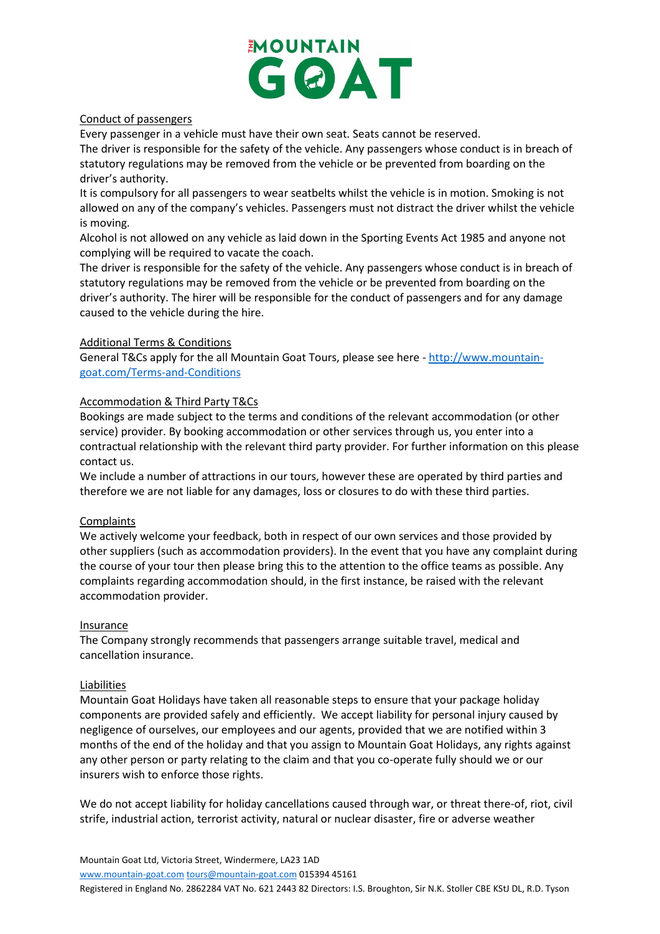

## Conduct of passengers

Every passenger in a vehicle must have their own seat. Seats cannot be reserved.

The driver is responsible for the safety of the vehicle. Any passengers whose conduct is in breach of statutory regulations may be removed from the vehicle or be prevented from boarding on the driver's authority.

It is compulsory for all passengers to wear seatbelts whilst the vehicle is in motion. Smoking is not allowed on any of the company's vehicles. Passengers must not distract the driver whilst the vehicle is moving.

Alcohol is not allowed on any vehicle as laid down in the Sporting Events Act 1985 and anyone not complying will be required to vacate the coach.

The driver is responsible for the safety of the vehicle. Any passengers whose conduct is in breach of statutory regulations may be removed from the vehicle or be prevented from boarding on the driver's authority. The hirer will be responsible for the conduct of passengers and for any damage caused to the vehicle during the hire.

## Additional Terms & Conditions

General T&Cs apply for the all Mountain Goat Tours, please see here - [http://www.mountain](http://www.mountain-goat.com/Terms-and-Conditions)[goat.com/Terms-and-Conditions](http://www.mountain-goat.com/Terms-and-Conditions)

## Accommodation & Third Party T&Cs

Bookings are made subject to the terms and conditions of the relevant accommodation (or other service) provider. By booking accommodation or other services through us, you enter into a contractual relationship with the relevant third party provider. For further information on this please contact us.

We include a number of attractions in our tours, however these are operated by third parties and therefore we are not liable for any damages, loss or closures to do with these third parties.

### **Complaints**

We actively welcome your feedback, both in respect of our own services and those provided by other suppliers (such as accommodation providers). In the event that you have any complaint during the course of your tour then please bring this to the attention to the office teams as possible. Any complaints regarding accommodation should, in the first instance, be raised with the relevant accommodation provider.

### Insurance

The Company strongly recommends that passengers arrange suitable travel, medical and cancellation insurance.

### Liabilities

Mountain Goat Holidays have taken all reasonable steps to ensure that your package holiday components are provided safely and efficiently. We accept liability for personal injury caused by negligence of ourselves, our employees and our agents, provided that we are notified within 3 months of the end of the holiday and that you assign to Mountain Goat Holidays, any rights against any other person or party relating to the claim and that you co-operate fully should we or our insurers wish to enforce those rights.

We do not accept liability for holiday cancellations caused through war, or threat there-of, riot, civil strife, industrial action, terrorist activity, natural or nuclear disaster, fire or adverse weather